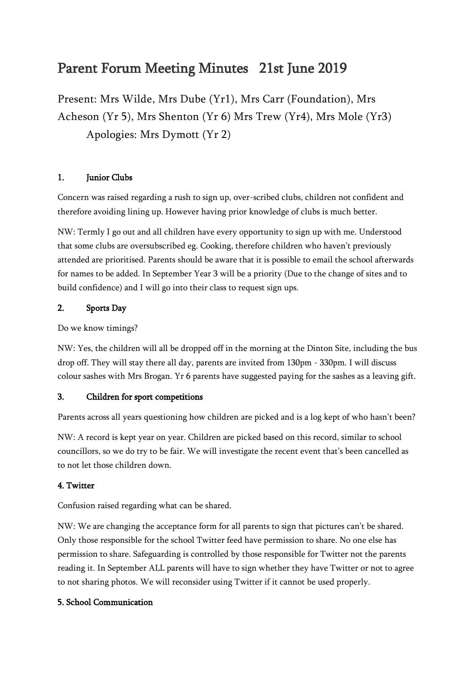# Parent Forum Meeting Minutes 21st June 2019

Present: Mrs Wilde, Mrs Dube (Yr1), Mrs Carr (Foundation), Mrs Acheson (Yr 5), Mrs Shenton (Yr 6) Mrs Trew (Yr4), Mrs Mole (Yr3) Apologies: Mrs Dymott (Yr 2)

# 1. Junior Clubs

Concern was raised regarding a rush to sign up, over-scribed clubs, children not confident and therefore avoiding lining up. However having prior knowledge of clubs is much better.

NW: Termly I go out and all children have every opportunity to sign up with me. Understood that some clubs are oversubscribed eg. Cooking, therefore children who haven't previously attended are prioritised. Parents should be aware that it is possible to email the school afterwards for names to be added. In September Year 3 will be a priority (Due to the change of sites and to build confidence) and I will go into their class to request sign ups.

# 2. Sports Day

Do we know timings?

NW: Yes, the children will all be dropped off in the morning at the Dinton Site, including the bus drop off. They will stay there all day, parents are invited from 130pm - 330pm. I will discuss colour sashes with Mrs Brogan. Yr 6 parents have suggested paying for the sashes as a leaving gift.

# 3. Children for sport competitions

Parents across all years questioning how children are picked and is a log kept of who hasn't been?

NW: A record is kept year on year. Children are picked based on this record, similar to school councillors, so we do try to be fair. We will investigate the recent event that's been cancelled as to not let those children down.

# 4. Twitter

Confusion raised regarding what can be shared.

NW: We are changing the acceptance form for all parents to sign that pictures can't be shared. Only those responsible for the school Twitter feed have permission to share. No one else has permission to share. Safeguarding is controlled by those responsible for Twitter not the parents reading it. In September ALL parents will have to sign whether they have Twitter or not to agree to not sharing photos. We will reconsider using Twitter if it cannot be used properly.

# 5. School Communication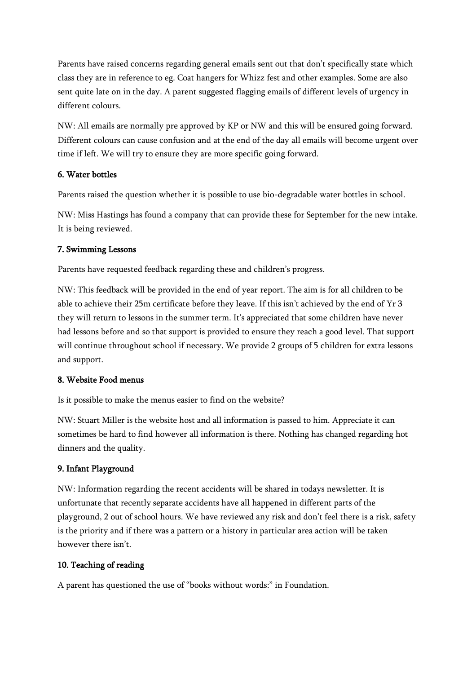Parents have raised concerns regarding general emails sent out that don't specifically state which class they are in reference to eg. Coat hangers for Whizz fest and other examples. Some are also sent quite late on in the day. A parent suggested flagging emails of different levels of urgency in different colours.

NW: All emails are normally pre approved by KP or NW and this will be ensured going forward. Different colours can cause confusion and at the end of the day all emails will become urgent over time if left. We will try to ensure they are more specific going forward.

## 6. Water bottles

Parents raised the question whether it is possible to use bio-degradable water bottles in school.

NW: Miss Hastings has found a company that can provide these for September for the new intake. It is being reviewed.

#### 7. Swimming Lessons

Parents have requested feedback regarding these and children's progress.

NW: This feedback will be provided in the end of year report. The aim is for all children to be able to achieve their 25m certificate before they leave. If this isn't achieved by the end of Yr 3 they will return to lessons in the summer term. It's appreciated that some children have never had lessons before and so that support is provided to ensure they reach a good level. That support will continue throughout school if necessary. We provide 2 groups of 5 children for extra lessons and support.

#### 8. Website Food menus

Is it possible to make the menus easier to find on the website?

NW: Stuart Miller is the website host and all information is passed to him. Appreciate it can sometimes be hard to find however all information is there. Nothing has changed regarding hot dinners and the quality.

## 9. Infant Playground

NW: Information regarding the recent accidents will be shared in todays newsletter. It is unfortunate that recently separate accidents have all happened in different parts of the playground, 2 out of school hours. We have reviewed any risk and don't feel there is a risk, safety is the priority and if there was a pattern or a history in particular area action will be taken however there isn't.

#### 10. Teaching of reading

A parent has questioned the use of "books without words:" in Foundation.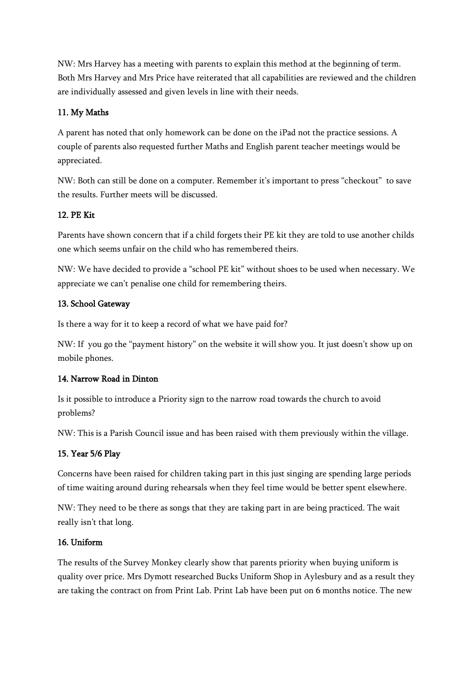NW: Mrs Harvey has a meeting with parents to explain this method at the beginning of term. Both Mrs Harvey and Mrs Price have reiterated that all capabilities are reviewed and the children are individually assessed and given levels in line with their needs.

## 11. My Maths

A parent has noted that only homework can be done on the iPad not the practice sessions. A couple of parents also requested further Maths and English parent teacher meetings would be appreciated.

NW: Both can still be done on a computer. Remember it's important to press "checkout" to save the results. Further meets will be discussed.

## 12. PE Kit

Parents have shown concern that if a child forgets their PE kit they are told to use another childs one which seems unfair on the child who has remembered theirs.

NW: We have decided to provide a "school PE kit" without shoes to be used when necessary. We appreciate we can't penalise one child for remembering theirs.

## 13. School Gateway

Is there a way for it to keep a record of what we have paid for?

NW: If you go the "payment history" on the website it will show you. It just doesn't show up on mobile phones.

## 14. Narrow Road in Dinton

Is it possible to introduce a Priority sign to the narrow road towards the church to avoid problems?

NW: This is a Parish Council issue and has been raised with them previously within the village.

# 15. Year 5/6 Play

Concerns have been raised for children taking part in this just singing are spending large periods of time waiting around during rehearsals when they feel time would be better spent elsewhere.

NW: They need to be there as songs that they are taking part in are being practiced. The wait really isn't that long.

## 16. Uniform

The results of the Survey Monkey clearly show that parents priority when buying uniform is quality over price. Mrs Dymott researched Bucks Uniform Shop in Aylesbury and as a result they are taking the contract on from Print Lab. Print Lab have been put on 6 months notice. The new